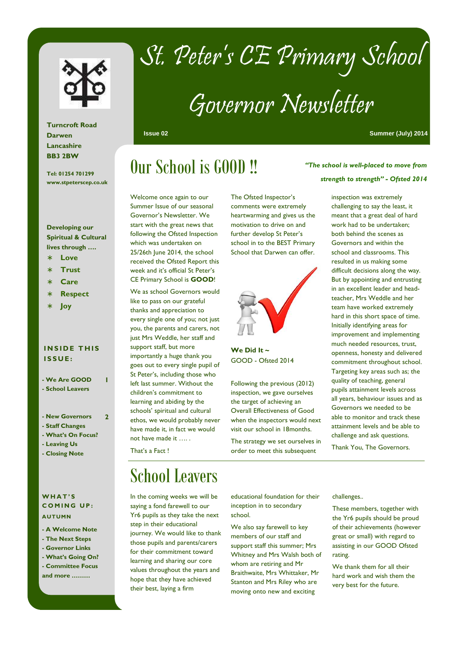

# St. Peter's CE Primary School

# Governor Newsletter

**Issue 02 Summer (July) 2014** 

### **Turncroft Road Darwen Lancashire BB3 2BW**

**Tel: 01254 701299 www.stpeterscep.co.uk** 

### **Developing our Spiritual & Cultural lives through ….**

- ∗ **Love**
- ∗ **Trust**
- ∗ **Care**
- ∗ **Respect**
- ∗ **Joy**

### **INSIDE THIS I S S U E :**

**- We Are GOOD - School Leavers** 

**1** 

**2** 

- **New Governors**
- **Staff Changes**
- **What's On Focus?**
- **Leaving Us**
- **Closing Note**

#### **W H A T ' S COMING UP: AUTUMN**

- **A Welcome Note**
- **The Next Steps**
- **Governor Links**
- **What's Going On? - Committee Focus**
- **and more ………**

### Our School is GOOD !!

Welcome once again to our Summer Issue of our seasonal Governor's Newsletter. We start with the great news that following the Ofsted Inspection which was undertaken on 25/26th June 2014, the school received the Ofsted Report this week and it's official St Peter's CE Primary School is **GOOD**!

We as school Governors would like to pass on our grateful thanks and appreciation to every single one of you; not just you, the parents and carers, not just Mrs Weddle, her staff and support staff, but more importantly a huge thank you goes out to every single pupil of St Peter's, including those who left last summer. Without the children's commitment to learning and abiding by the schools' spiritual and cultural ethos, we would probably never have made it, in fact we would not have made it …. .

That's a Fact !

### School Leavers

In the coming weeks we will be saying a fond farewell to our Yr6 pupils as they take the next step in their educational journey. We would like to thank those pupils and parents/carers for their commitment toward learning and sharing our core values throughout the years and hope that they have achieved their best, laying a firm

The Ofsted Inspector's comments were extremely heartwarming and gives us the motivation to drive on and further develop St Peter's school in to the BEST Primary School that Darwen can offer.



GOOD - Ofsted 2014

Following the previous (2012) inspection, we gave ourselves the target of achieving an Overall Effectiveness of Good when the inspectors would next visit our school in 18months.

The strategy we set ourselves in order to meet this subsequent

educational foundation for their inception in to secondary

We also say farewell to key members of our staff and support staff this summer; Mrs Whitney and Mrs Walsh both of whom are retiring and Mr Braithwaite, Mrs Whittaker, Mr Stanton and Mrs Riley who are moving onto new and exciting

school.

challenges..

These members, together with the Yr6 pupils should be proud of their achievements (however great or small) with regard to assisting in our GOOD Ofsted rating.

We thank them for all their hard work and wish them the very best for the future.

*"The school is well-placed to move from strength to strength" - Ofsted 2014* 

> inspection was extremely challenging to say the least, it meant that a great deal of hard work had to be undertaken; both behind the scenes as Governors and within the school and classrooms. This resulted in us making some difficult decisions along the way. But by appointing and entrusting in an excellent leader and headteacher, Mrs Weddle and her team have worked extremely hard in this short space of time. Initially identifying areas for improvement and implementing much needed resources, trust, openness, honesty and delivered commitment throughout school. Targeting key areas such as; the quality of teaching, general pupils attainment levels across all years, behaviour issues and as Governors we needed to be able to monitor and track these attainment levels and be able to challenge and ask questions.

Thank You, The Governors.

**We Did It ~**